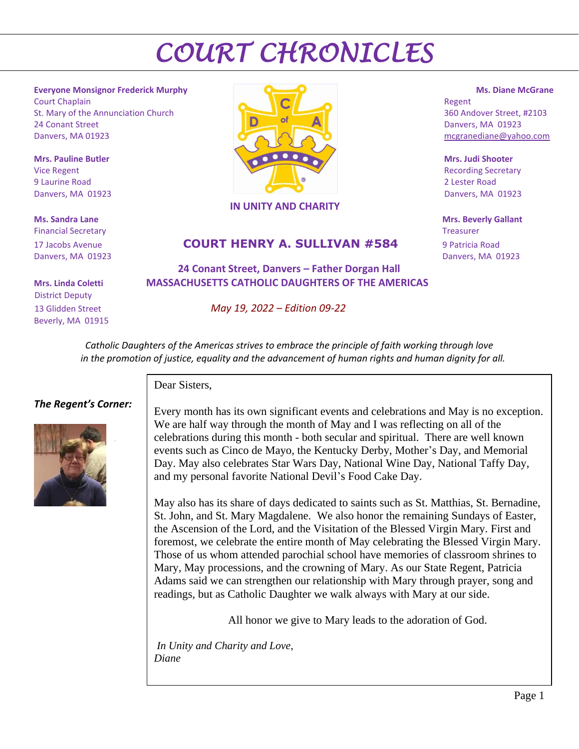**Everyone Monsignor Frederick Murphy Ms. Diane McGrane** Court Chaplain Regent St. Mary of the Annunciation Church 360 Andover Street, #2103 24 Conant Street **Danvers, MA 01923** Danvers, MA 01923 mcgranediane@yahoo.com

Financial Secretary **Treasurer** The Communication of the Communication of the Communication of the Communication of the Communication of the Communication of the Communication of the Communication of the Communication of t

 District Deputy Beverly, MA 01915



#### **IN UNITY AND CHARITY**

### 17 Jacobs Avenue **COURT HENRY A. SULLIVAN #584** 9 Patricia Road

 **24 Conant Street, Danvers – Father Dorgan Hall Mrs. Linda Coletti MASSACHUSETTS CATHOLIC DAUGHTERS OF THE AMERICAS**

13 Glidden Street *May 19, 2022 – Edition 09-22*

 **Ms. Sandra Lane Mrs. Beverly Gallant** Danvers, MA 01923 Danvers, MA 01923

 *Catholic Daughters of the Americas strives to embrace the principle of faith working through love in the promotion of justice, equality and the advancement of human rights and human dignity for all.*

#### *The Regent's Corner:*



Dear Sisters,

Every month has its own significant events and celebrations and May is no exception. We are half way through the month of May and I was reflecting on all of the celebrations during this month - both secular and spiritual. There are well known events such as Cinco de Mayo, the Kentucky Derby, Mother's Day, and Memorial Day. May also celebrates Star Wars Day, National Wine Day, National Taffy Day, and my personal favorite National Devil's Food Cake Day.

May also has its share of days dedicated to saints such as St. Matthias, St. Bernadine, St. John, and St. Mary Magdalene. We also honor the remaining Sundays of Easter, the Ascension of the Lord, and the Visitation of the Blessed Virgin Mary. First and foremost, we celebrate the entire month of May celebrating the Blessed Virgin Mary. Those of us whom attended parochial school have memories of classroom shrines to Mary, May processions, and the crowning of Mary. As our State Regent, Patricia Adams said we can strengthen our relationship with Mary through prayer, song and readings, but as Catholic Daughter we walk always with Mary at our side.

All honor we give to Mary leads to the adoration of God.

*In Unity and Charity and Love, Diane*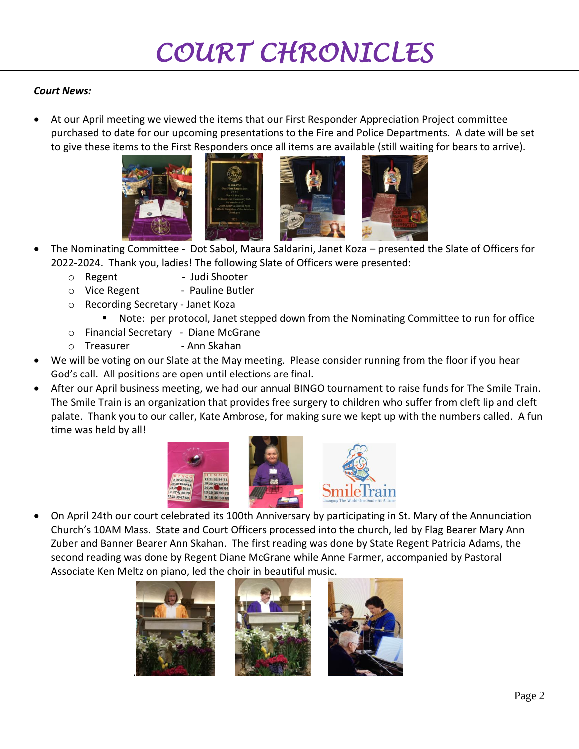### *Court News:*

• At our April meeting we viewed the items that our First Responder Appreciation Project committee purchased to date for our upcoming presentations to the Fire and Police Departments. A date will be set to give these items to the First Responders once all items are available (still waiting for bears to arrive).





- The Nominating Committee Dot Sabol, Maura Saldarini, Janet Koza presented the Slate of Officers for 2022-2024. Thank you, ladies! The following Slate of Officers were presented:
	- o Regent Judi Shooter
	- o Vice Regent Pauline Butler
	- o Recording Secretary Janet Koza
		- Note: per protocol, Janet stepped down from the Nominating Committee to run for office
	- o Financial Secretary Diane McGrane
	- o Treasurer Ann Skahan
- We will be voting on our Slate at the May meeting. Please consider running from the floor if you hear God's call. All positions are open until elections are final.
- After our April business meeting, we had our annual BINGO tournament to raise funds for The Smile Train. The Smile Train is an organization that provides free surgery to children who suffer from cleft lip and cleft palate. Thank you to our caller, Kate Ambrose, for making sure we kept up with the numbers called. A fun time was held by all!





• On April 24th our court celebrated its 100th Anniversary by participating in St. Mary of the Annunciation Church's 10AM Mass. State and Court Officers processed into the church, led by Flag Bearer Mary Ann Zuber and Banner Bearer Ann Skahan. The first reading was done by State Regent Patricia Adams, the second reading was done by Regent Diane McGrane while Anne Farmer, accompanied by Pastoral Associate Ken Meltz on piano, led the choir in beautiful music.





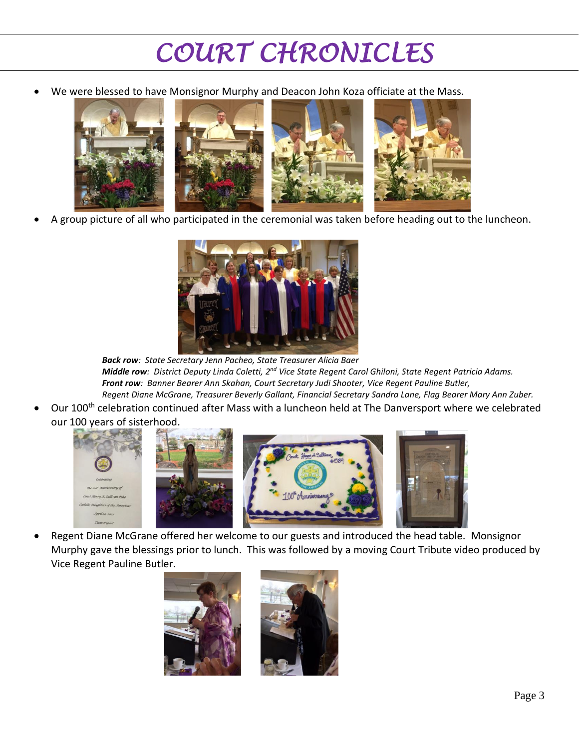We were blessed to have Monsignor Murphy and Deacon John Koza officiate at the Mass.



• A group picture of all who participated in the ceremonial was taken before heading out to the luncheon.



*Back row: State Secretary Jenn Pacheo, State Treasurer Alicia Baer*  $M$ iddle row: District Deputy Linda Coletti, 2<sup>nd</sup> Vice State Regent Carol Ghiloni, State Regent Patricia Adams. *Front row: Banner Bearer Ann Skahan, Court Secretary Judi Shooter, Vice Regent Pauline Butler, Regent Diane McGrane, Treasurer Beverly Gallant, Financial Secretary Sandra Lane, Flag Bearer Mary Ann Zuber.*

Our 100<sup>th</sup> celebration continued after Mass with a luncheon held at The Danversport where we celebrated our 100 years of sisterhood.



• Regent Diane McGrane offered her welcome to our guests and introduced the head table. Monsignor Murphy gave the blessings prior to lunch. This was followed by a moving Court Tribute video produced by Vice Regent Pauline Butler.

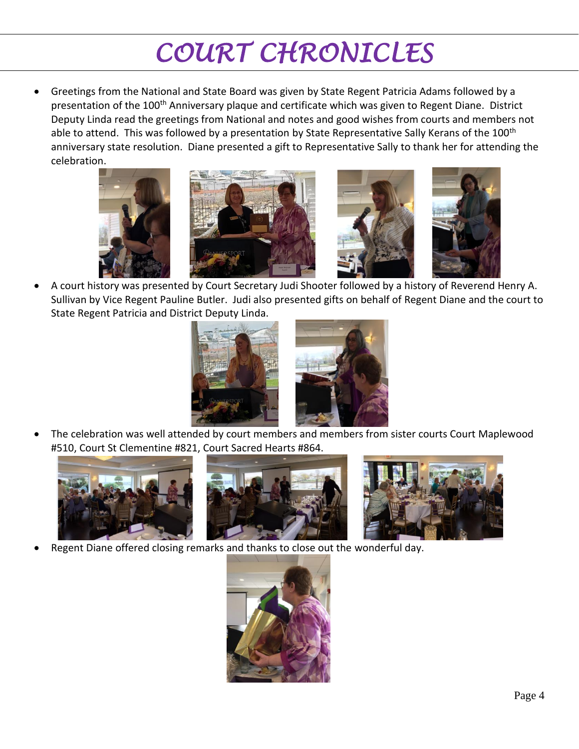• Greetings from the National and State Board was given by State Regent Patricia Adams followed by a presentation of the 100<sup>th</sup> Anniversary plaque and certificate which was given to Regent Diane. District Deputy Linda read the greetings from National and notes and good wishes from courts and members not able to attend. This was followed by a presentation by State Representative Sally Kerans of the 100<sup>th</sup> anniversary state resolution. Diane presented a gift to Representative Sally to thank her for attending the celebration.



• A court history was presented by Court Secretary Judi Shooter followed by a history of Reverend Henry A. Sullivan by Vice Regent Pauline Butler. Judi also presented gifts on behalf of Regent Diane and the court to State Regent Patricia and District Deputy Linda.



• The celebration was well attended by court members and members from sister courts Court Maplewood #510, Court St Clementine #821, Court Sacred Hearts #864.





Regent Diane offered closing remarks and thanks to close out the wonderful day.

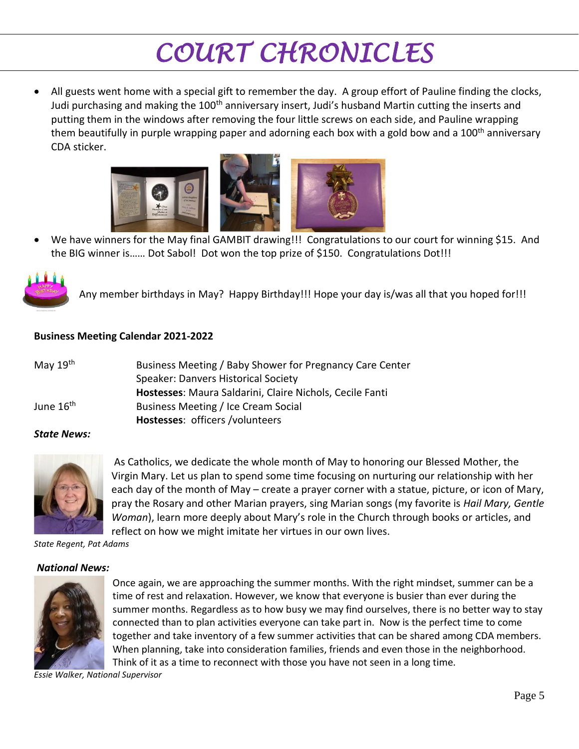• All guests went home with a special gift to remember the day. A group effort of Pauline finding the clocks, Judi purchasing and making the  $100<sup>th</sup>$  anniversary insert, Judi's husband Martin cutting the inserts and putting them in the windows after removing the four little screws on each side, and Pauline wrapping them beautifully in purple wrapping paper and adorning each box with a gold bow and a 100<sup>th</sup> anniversary CDA sticker.



• We have winners for the May final GAMBIT drawing!!! Congratulations to our court for winning \$15. And the BIG winner is…… Dot Sabol! Dot won the top prize of \$150. Congratulations Dot!!!



Any member birthdays in May? Happy Birthday!!! Hope your day is/was all that you hoped for!!!

### **Business Meeting Calendar 2021-2022**

| May 19 <sup>th</sup>  | Business Meeting / Baby Shower for Pregnancy Care Center |
|-----------------------|----------------------------------------------------------|
|                       | <b>Speaker: Danvers Historical Society</b>               |
|                       | Hostesses: Maura Saldarini, Claire Nichols, Cecile Fanti |
| June 16 <sup>th</sup> | Business Meeting / Ice Cream Social                      |
|                       | Hostesses: officers /volunteers                          |
|                       |                                                          |

#### *State News:*



As Catholics, we dedicate the whole month of May to honoring our Blessed Mother, the Virgin Mary. Let us plan to spend some time focusing on nurturing our relationship with her each day of the month of May – create a prayer corner with a statue, picture, or icon of Mary, pray the Rosary and other Marian prayers, sing Marian songs (my favorite is *Hail Mary, Gentle Woman*), learn more deeply about Mary's role in the Church through books or articles, and reflect on how we might imitate her virtues in our own lives.

*State Regent, Pat Adams*

#### *National News:*



Once again, we are approaching the summer months. With the right mindset, summer can be a time of rest and relaxation. However, we know that everyone is busier than ever during the summer months. Regardless as to how busy we may find ourselves, there is no better way to stay connected than to plan activities everyone can take part in. Now is the perfect time to come together and take inventory of a few summer activities that can be shared among CDA members. When planning, take into consideration families, friends and even those in the neighborhood. Think of it as a time to reconnect with those you have not seen in a long time.

*Essie Walker, National Supervisor*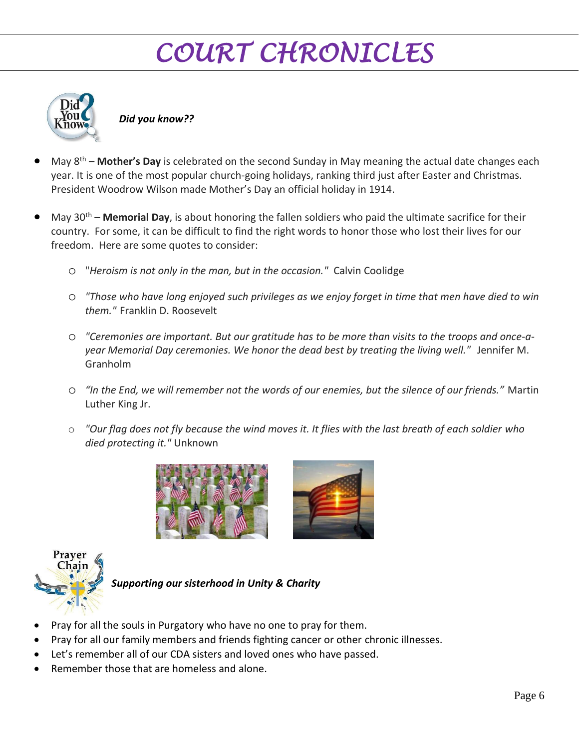

*Did you know??*

- May 8th **Mother's Day** is celebrated on the second Sunday in May meaning the actual date changes each year. It is one of the most popular church-going holidays, ranking third just after Easter and Christmas. President Woodrow Wilson made Mother's Day an official holiday in 1914.
- May 30<sup>th</sup> **Memorial Day**, is about honoring the fallen soldiers who paid the ultimate sacrifice for their country. For some, it can be difficult to find the right words to honor those who lost their lives for our freedom. Here are some quotes to consider:
	- o "*Heroism is not only in the man, but in the occasion."* Calvin Coolidge
	- o *"Those who have long enjoyed such privileges as we enjoy forget in time that men have died to win them."* Franklin D. Roosevelt
	- o *"Ceremonies are important. But our gratitude has to be more than visits to the troops and once-ayear Memorial Day ceremonies. We honor the dead best by treating the living well."* Jennifer M. Granholm
	- o *"In the End, we will remember not the words of our enemies, but the silence of our friends."* Martin Luther King Jr.
	- o *"Our flag does not fly because the wind moves it. It flies with the last breath of each soldier who died protecting it."* Unknown







*Supporting our sisterhood in Unity & Charity*

- Pray for all the souls in Purgatory who have no one to pray for them.
- Pray for all our family members and friends fighting cancer or other chronic illnesses.
- Let's remember all of our CDA sisters and loved ones who have passed.
- Remember those that are homeless and alone.